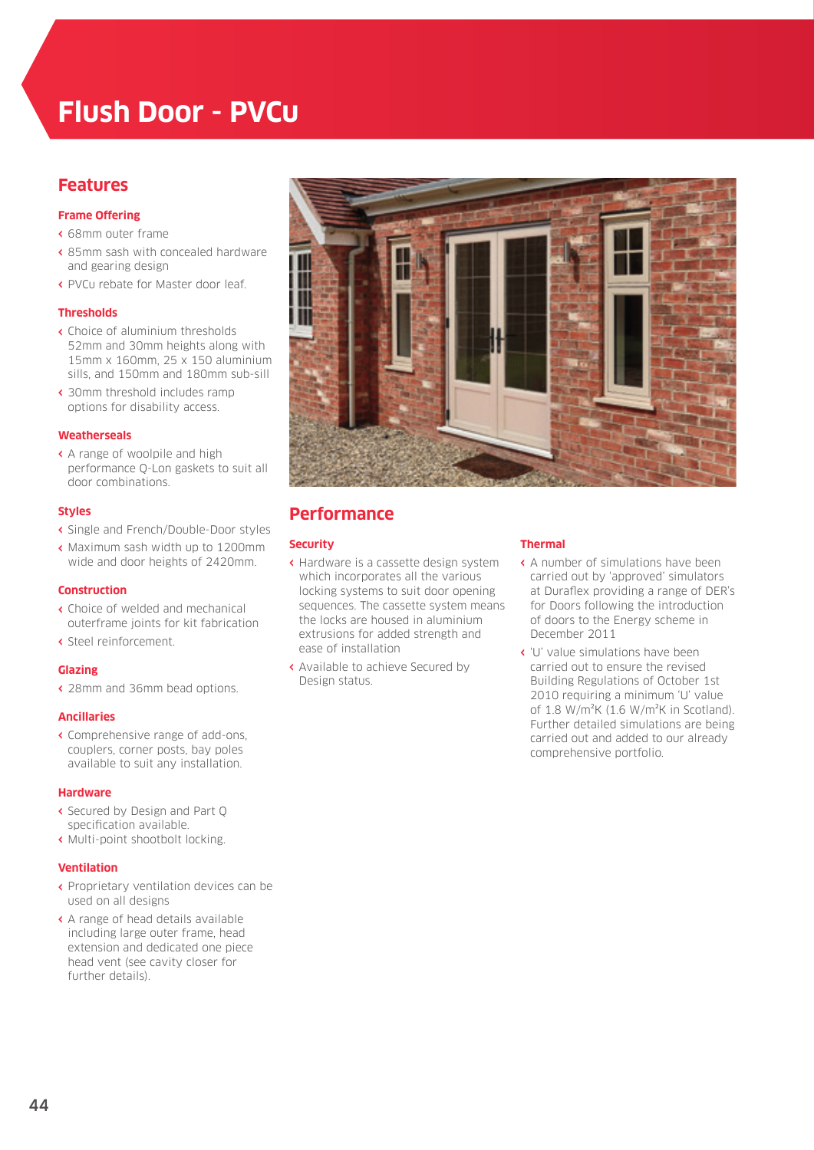# **Flush Door - PVCu**

### **Features**

#### **Frame Offering**

- **‹** 68mm outer frame
- **‹** 85mm sash with concealed hardware and gearing design
- **‹** PVCu rebate for Master door leaf.

#### **Thresholds**

- **‹** Choice of aluminium thresholds 52mm and 30mm heights along with 15mm x 160mm, 25 x 150 aluminium sills, and 150mm and 180mm sub-sill
- **‹** 30mm threshold includes ramp options for disability access.

#### **Weatherseals**

**‹** A range of woolpile and high performance Q-Lon gaskets to suit all door combinations.

#### **Styles**

- **‹** Single and French/Double-Door styles
- **‹** Maximum sash width up to 1200mm wide and door heights of 2420mm.

#### **Construction**

- **‹** Choice of welded and mechanical outerframe joints for kit fabrication
- **‹** Steel reinforcement.

#### **Glazing**

**‹** 28mm and 36mm bead options.

#### **Ancillaries**

**‹** Comprehensive range of add-ons, couplers, corner posts, bay poles available to suit any installation.

#### **Hardware**

- **‹** Secured by Design and Part Q specification available.
- **‹** Multi-point shootbolt locking.

#### **Ventilation**

- **‹** Proprietary ventilation devices can be used on all designs
- **‹** A range of head details available including large outer frame, head extension and dedicated one piece head vent (see cavity closer for further details).



# **Performance**

#### **Security**

- **‹** Hardware is a cassette design system which incorporates all the various locking systems to suit door opening sequences. The cassette system means the locks are housed in aluminium extrusions for added strength and ease of installation
- **‹** Available to achieve Secured by Design status.

#### **Thermal**

- **‹** A number of simulations have been carried out by 'approved' simulators at Duraflex providing a range of DER's for Doors following the introduction of doors to the Energy scheme in December 2011
- **‹** 'U' value simulations have been carried out to ensure the revised Building Regulations of October 1st 2010 requiring a minimum 'U' value of 1.8 W/m²K (1.6 W/m²K in Scotland). Further detailed simulations are being carried out and added to our already comprehensive portfolio.

44